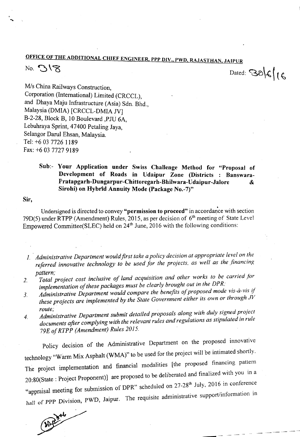## OFFICE OF THE ADDITIONAL CHIEF ENGINEER , PPP DIV., PWD, RAJASTHAN, JAIPUR

## No. 318

Dated:  $386666$ 

*Mis* China Railways Construction Corporation (International) Limited (CRCCL), and Dhaya Maju Infrastructure (Asia) Sdn. Bhd Malaysia (DMIA) [CRCCL-DMIA JV] B-2-28, Block B, 10 Boulevard ,PJU 6A, Lebuhraya Sprint, 47400 Petaling Jaya, Selangor Darul Ehsan, Malaysia. Tel: +6 03 7726 1189 Fax: +60377279189

## Sub:- Your Application under Swiss Challenge Method for "Proposal of Development of Roads in Udaipur Zone (Districts : Banswara-Pratapgarh-Dungarpur-Chittoregarh-Bhilwara-Udaipur-Jalore Sirohi) on Hybrid Annuity Mode (Package No.-7)"

Sir,

Undersigned is directed to convey "permission to proceed" in accordance with section 79D(5) under RTPP (Amendment) Rules, 2015, as per decision of  $6<sup>th</sup>$  meeting of State Level Empowered Committee(SLEC) held on  $24<sup>th</sup>$  June, 2016 with the following conditions:

- *1. Administrative Department wouldjirst take apolicy decision at appropriate level on the referred innovative technology to be used for the projects, as well as the financing pattern;*
- *2. Total project cost inclusive of land acquisition and other works to be carried for implementation of these packages must be clearly brought out in the DPR;*
- *3. Administrative Department would compare the benefits of proposed mode vis-a-vis* V *these projects are implemented by the State Government either its own or through .IV route;*
- *4. Administrative Department submit detailed proposals along with duly signed project documents after complying with the relevant rules and regulations as stipulated in rule 79Eof RTPP (Amendment) Rules 2015.*

Policy decision of the Administrative Department on the proposed innovative technology"Warm Mix Asphalt (WMA)" to be used for the project will be intimated shortly. The project implementation and financial modalities [the proposed financing pattern 20:80(State : Project Proponent)] are proposed to be deliberated and finalized with you in a "appraisal meeting for submission of DPR" scheduled on 27-28<sup>th</sup> July, 2016 in conference hall of PPP Division, PWD, Jaipur. The requisite administrative support/information in

----

(A) byte